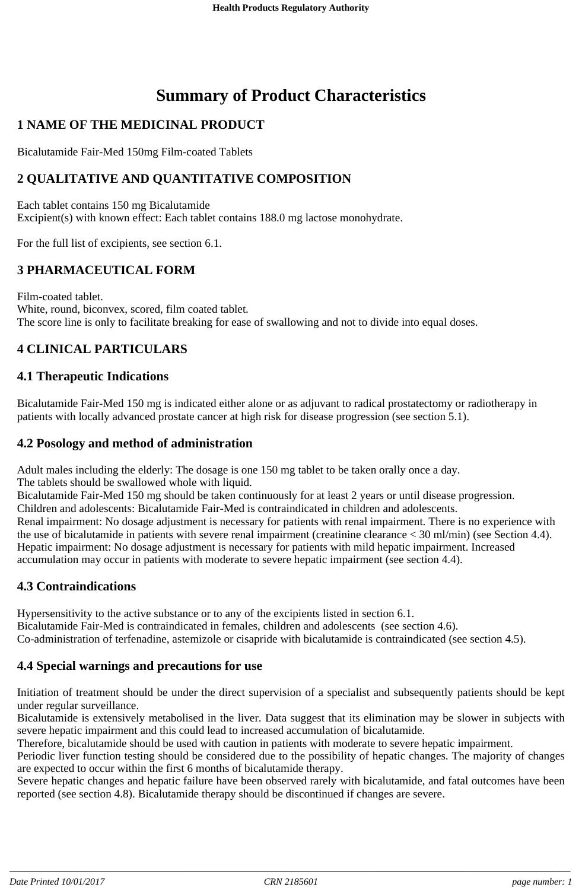# **Summary of Product Characteristics**

# **1 NAME OF THE MEDICINAL PRODUCT**

Bicalutamide Fair-Med 150mg Film-coated Tablets

# **2 QUALITATIVE AND QUANTITATIVE COMPOSITION**

Each tablet contains 150 mg Bicalutamide Excipient(s) with known effect: Each tablet contains 188.0 mg lactose monohydrate.

For the full list of excipients, see section 6.1.

# **3 PHARMACEUTICAL FORM**

Film-coated tablet. White, round, biconvex, scored, film coated tablet. The score line is only to facilitate breaking for ease of swallowing and not to divide into equal doses.

# **4 CLINICAL PARTICULARS**

## **4.1 Therapeutic Indications**

Bicalutamide Fair-Med 150 mg is indicated either alone or as adjuvant to radical prostatectomy or radiotherapy in patients with locally advanced prostate cancer at high risk for disease progression (see section 5.1).

#### **4.2 Posology and method of administration**

Adult males including the elderly: The dosage is one 150 mg tablet to be taken orally once a day.

The tablets should be swallowed whole with liquid.

Bicalutamide Fair-Med 150 mg should be taken continuously for at least 2 years or until disease progression.

Children and adolescents: Bicalutamide Fair-Med is contraindicated in children and adolescents.

Renal impairment: No dosage adjustment is necessary for patients with renal impairment. There is no experience with the use of bicalutamide in patients with severe renal impairment (creatinine clearance < 30 ml/min) (see Section 4.4). Hepatic impairment: No dosage adjustment is necessary for patients with mild hepatic impairment. Increased accumulation may occur in patients with moderate to severe hepatic impairment (see section 4.4).

## **4.3 Contraindications**

Hypersensitivity to the active substance or to any of the excipients listed in section 6.1. Bicalutamide Fair-Med is contraindicated in females, children and adolescents (see section 4.6). Co-administration of terfenadine, astemizole or cisapride with bicalutamide is contraindicated (see section 4.5).

## **4.4 Special warnings and precautions for use**

Initiation of treatment should be under the direct supervision of a specialist and subsequently patients should be kept under regular surveillance.

Bicalutamide is extensively metabolised in the liver. Data suggest that its elimination may be slower in subjects with severe hepatic impairment and this could lead to increased accumulation of bicalutamide.

Therefore, bicalutamide should be used with caution in patients with moderate to severe hepatic impairment.

Periodic liver function testing should be considered due to the possibility of hepatic changes. The majority of changes are expected to occur within the first 6 months of bicalutamide therapy.

Severe hepatic changes and hepatic failure have been observed rarely with bicalutamide, and fatal outcomes have been reported (see section 4.8). Bicalutamide therapy should be discontinued if changes are severe.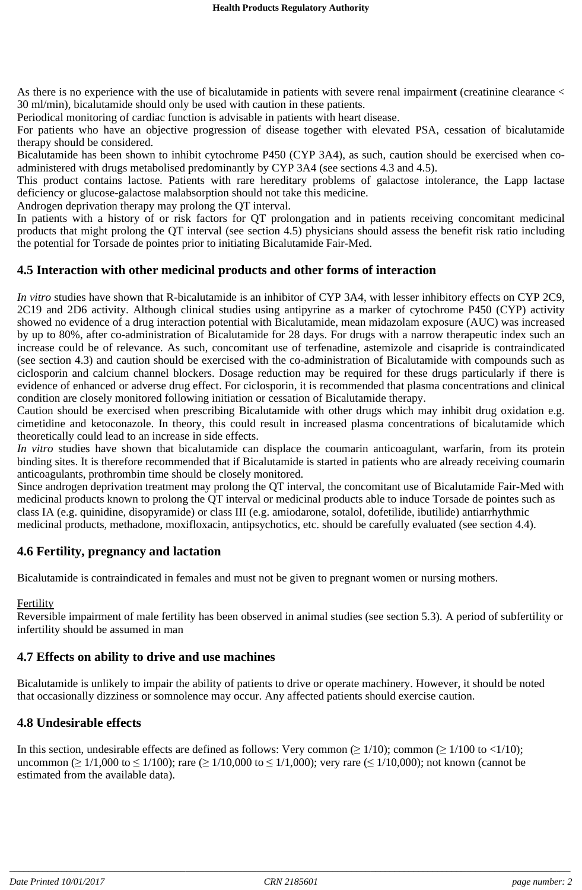As there is no experience with the use of bicalutamide in patients with severe renal impairmen**t** (creatinine clearance < 30 ml/min), bicalutamide should only be used with caution in these patients.

Periodical monitoring of cardiac function is advisable in patients with heart disease.

For patients who have an objective progression of disease together with elevated PSA, cessation of bicalutamide therapy should be considered.

Bicalutamide has been shown to inhibit cytochrome P450 (CYP 3A4), as such, caution should be exercised when coadministered with drugs metabolised predominantly by CYP 3A4 (see sections 4.3 and 4.5).

This product contains lactose. Patients with rare hereditary problems of galactose intolerance, the Lapp lactase deficiency or glucose-galactose malabsorption should not take this medicine.

Androgen deprivation therapy may prolong the QT interval.

In patients with a history of or risk factors for QT prolongation and in patients receiving concomitant medicinal products that might prolong the QT interval (see section 4.5) physicians should assess the benefit risk ratio including the potential for Torsade de pointes prior to initiating Bicalutamide Fair-Med.

#### **4.5 Interaction with other medicinal products and other forms of interaction**

*In vitro* studies have shown that R-bicalutamide is an inhibitor of CYP 3A4, with lesser inhibitory effects on CYP 2C9, 2C19 and 2D6 activity. Although clinical studies using antipyrine as a marker of cytochrome P450 (CYP) activity showed no evidence of a drug interaction potential with Bicalutamide, mean midazolam exposure (AUC) was increased by up to 80%, after co-administration of Bicalutamide for 28 days. For drugs with a narrow therapeutic index such an increase could be of relevance. As such, concomitant use of terfenadine, astemizole and cisapride is contraindicated (see section 4.3) and caution should be exercised with the co-administration of Bicalutamide with compounds such as ciclosporin and calcium channel blockers. Dosage reduction may be required for these drugs particularly if there is evidence of enhanced or adverse drug effect. For ciclosporin, it is recommended that plasma concentrations and clinical condition are closely monitored following initiation or cessation of Bicalutamide therapy.

Caution should be exercised when prescribing Bicalutamide with other drugs which may inhibit drug oxidation e.g. cimetidine and ketoconazole. In theory, this could result in increased plasma concentrations of bicalutamide which theoretically could lead to an increase in side effects.

*In vitro* studies have shown that bicalutamide can displace the coumarin anticoagulant, warfarin, from its protein binding sites. It is therefore recommended that if Bicalutamide is started in patients who are already receiving coumarin anticoagulants, prothrombin time should be closely monitored.

Since androgen deprivation treatment may prolong the QT interval, the concomitant use of Bicalutamide Fair-Med with medicinal products known to prolong the QT interval or medicinal products able to induce Torsade de pointes such as class IA (e.g. quinidine, disopyramide) or class III (e.g. amiodarone, sotalol, dofetilide, ibutilide) antiarrhythmic medicinal products, methadone, moxifloxacin, antipsychotics, etc. should be carefully evaluated (see section 4.4).

#### **4.6 Fertility, pregnancy and lactation**

Bicalutamide is contraindicated in females and must not be given to pregnant women or nursing mothers.

#### Fertility

Reversible impairment of male fertility has been observed in animal studies (see section 5.3). A period of subfertility or infertility should be assumed in man

#### **4.7 Effects on ability to drive and use machines**

Bicalutamide is unlikely to impair the ability of patients to drive or operate machinery. However, it should be noted that occasionally dizziness or somnolence may occur. Any affected patients should exercise caution.

#### **4.8 Undesirable effects**

In this section, undesirable effects are defined as follows: Very common ( $\geq 1/10$ ); common ( $\geq 1/100$  to  $\lt 1/10$ ); uncommon ( $\geq 1/1,000$  to  $\leq 1/100$ ); rare ( $\geq 1/10,000$  to  $\leq 1/1,000$ ); very rare ( $\leq 1/10,000$ ); not known (cannot be estimated from the available data).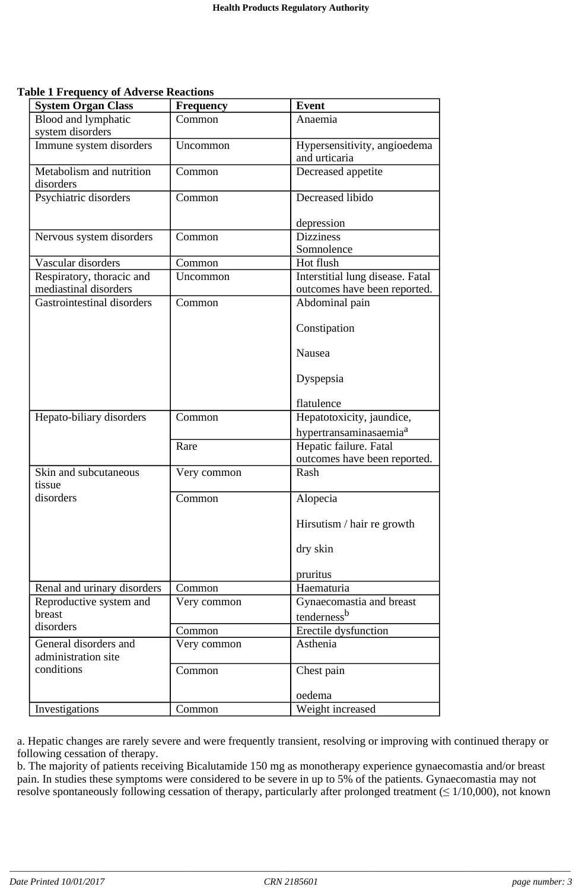**Table 1 Frequency of Adverse Reactions**

| Blood and lymphatic<br>Common<br>Anaemia<br>system disorders<br>Hypersensitivity, angioedema<br>Immune system disorders<br>Uncommon<br>and urticaria<br>Metabolism and nutrition<br>Decreased appetite<br>Common<br>disorders<br>Decreased libido<br>Psychiatric disorders<br>Common<br>depression<br><b>Dizziness</b><br>Nervous system disorders<br>Common<br>Somnolence<br>Vascular disorders<br>Hot flush<br>Common<br>Respiratory, thoracic and<br>Uncommon<br>Interstitial lung disease. Fatal<br>mediastinal disorders<br>outcomes have been reported.<br><b>Gastrointestinal disorders</b><br>Abdominal pain<br>Common<br>Constipation<br>Nausea<br>Dyspepsia<br>flatulence<br>Hepatotoxicity, jaundice,<br>Hepato-biliary disorders<br>Common<br>hypertransaminasaemia <sup>a</sup><br>Rare<br>Hepatic failure. Fatal<br>outcomes have been reported.<br>Skin and subcutaneous<br>Very common<br>Rash<br>tissue<br>disorders<br>Common<br>Alopecia<br>Hirsutism / hair re growth<br>dry skin<br>pruritus<br>Renal and urinary disorders<br>Haematuria<br>Common<br>Gynaecomastia and breast<br>Reproductive system and<br>Very common<br>breast<br>tenderness <sup>b</sup><br>disorders<br>Erectile dysfunction<br>Common<br>General disorders and<br>Asthenia<br>Very common<br>administration site<br>conditions<br>Common<br>Chest pain<br>oedema<br>Weight increased<br>Investigations<br>Common | <b>System Organ Class</b> | <b>Frequency</b> | <b>Event</b> |
|---------------------------------------------------------------------------------------------------------------------------------------------------------------------------------------------------------------------------------------------------------------------------------------------------------------------------------------------------------------------------------------------------------------------------------------------------------------------------------------------------------------------------------------------------------------------------------------------------------------------------------------------------------------------------------------------------------------------------------------------------------------------------------------------------------------------------------------------------------------------------------------------------------------------------------------------------------------------------------------------------------------------------------------------------------------------------------------------------------------------------------------------------------------------------------------------------------------------------------------------------------------------------------------------------------------------------------------------------------------------------------------------------------------|---------------------------|------------------|--------------|
|                                                                                                                                                                                                                                                                                                                                                                                                                                                                                                                                                                                                                                                                                                                                                                                                                                                                                                                                                                                                                                                                                                                                                                                                                                                                                                                                                                                                               |                           |                  |              |
|                                                                                                                                                                                                                                                                                                                                                                                                                                                                                                                                                                                                                                                                                                                                                                                                                                                                                                                                                                                                                                                                                                                                                                                                                                                                                                                                                                                                               |                           |                  |              |
|                                                                                                                                                                                                                                                                                                                                                                                                                                                                                                                                                                                                                                                                                                                                                                                                                                                                                                                                                                                                                                                                                                                                                                                                                                                                                                                                                                                                               |                           |                  |              |
|                                                                                                                                                                                                                                                                                                                                                                                                                                                                                                                                                                                                                                                                                                                                                                                                                                                                                                                                                                                                                                                                                                                                                                                                                                                                                                                                                                                                               |                           |                  |              |
|                                                                                                                                                                                                                                                                                                                                                                                                                                                                                                                                                                                                                                                                                                                                                                                                                                                                                                                                                                                                                                                                                                                                                                                                                                                                                                                                                                                                               |                           |                  |              |
|                                                                                                                                                                                                                                                                                                                                                                                                                                                                                                                                                                                                                                                                                                                                                                                                                                                                                                                                                                                                                                                                                                                                                                                                                                                                                                                                                                                                               |                           |                  |              |
|                                                                                                                                                                                                                                                                                                                                                                                                                                                                                                                                                                                                                                                                                                                                                                                                                                                                                                                                                                                                                                                                                                                                                                                                                                                                                                                                                                                                               |                           |                  |              |
|                                                                                                                                                                                                                                                                                                                                                                                                                                                                                                                                                                                                                                                                                                                                                                                                                                                                                                                                                                                                                                                                                                                                                                                                                                                                                                                                                                                                               |                           |                  |              |
|                                                                                                                                                                                                                                                                                                                                                                                                                                                                                                                                                                                                                                                                                                                                                                                                                                                                                                                                                                                                                                                                                                                                                                                                                                                                                                                                                                                                               |                           |                  |              |
|                                                                                                                                                                                                                                                                                                                                                                                                                                                                                                                                                                                                                                                                                                                                                                                                                                                                                                                                                                                                                                                                                                                                                                                                                                                                                                                                                                                                               |                           |                  |              |
|                                                                                                                                                                                                                                                                                                                                                                                                                                                                                                                                                                                                                                                                                                                                                                                                                                                                                                                                                                                                                                                                                                                                                                                                                                                                                                                                                                                                               |                           |                  |              |
|                                                                                                                                                                                                                                                                                                                                                                                                                                                                                                                                                                                                                                                                                                                                                                                                                                                                                                                                                                                                                                                                                                                                                                                                                                                                                                                                                                                                               |                           |                  |              |
|                                                                                                                                                                                                                                                                                                                                                                                                                                                                                                                                                                                                                                                                                                                                                                                                                                                                                                                                                                                                                                                                                                                                                                                                                                                                                                                                                                                                               |                           |                  |              |
|                                                                                                                                                                                                                                                                                                                                                                                                                                                                                                                                                                                                                                                                                                                                                                                                                                                                                                                                                                                                                                                                                                                                                                                                                                                                                                                                                                                                               |                           |                  |              |
|                                                                                                                                                                                                                                                                                                                                                                                                                                                                                                                                                                                                                                                                                                                                                                                                                                                                                                                                                                                                                                                                                                                                                                                                                                                                                                                                                                                                               |                           |                  |              |
|                                                                                                                                                                                                                                                                                                                                                                                                                                                                                                                                                                                                                                                                                                                                                                                                                                                                                                                                                                                                                                                                                                                                                                                                                                                                                                                                                                                                               |                           |                  |              |
|                                                                                                                                                                                                                                                                                                                                                                                                                                                                                                                                                                                                                                                                                                                                                                                                                                                                                                                                                                                                                                                                                                                                                                                                                                                                                                                                                                                                               |                           |                  |              |
|                                                                                                                                                                                                                                                                                                                                                                                                                                                                                                                                                                                                                                                                                                                                                                                                                                                                                                                                                                                                                                                                                                                                                                                                                                                                                                                                                                                                               |                           |                  |              |
|                                                                                                                                                                                                                                                                                                                                                                                                                                                                                                                                                                                                                                                                                                                                                                                                                                                                                                                                                                                                                                                                                                                                                                                                                                                                                                                                                                                                               |                           |                  |              |
|                                                                                                                                                                                                                                                                                                                                                                                                                                                                                                                                                                                                                                                                                                                                                                                                                                                                                                                                                                                                                                                                                                                                                                                                                                                                                                                                                                                                               |                           |                  |              |
|                                                                                                                                                                                                                                                                                                                                                                                                                                                                                                                                                                                                                                                                                                                                                                                                                                                                                                                                                                                                                                                                                                                                                                                                                                                                                                                                                                                                               |                           |                  |              |
|                                                                                                                                                                                                                                                                                                                                                                                                                                                                                                                                                                                                                                                                                                                                                                                                                                                                                                                                                                                                                                                                                                                                                                                                                                                                                                                                                                                                               |                           |                  |              |
|                                                                                                                                                                                                                                                                                                                                                                                                                                                                                                                                                                                                                                                                                                                                                                                                                                                                                                                                                                                                                                                                                                                                                                                                                                                                                                                                                                                                               |                           |                  |              |
|                                                                                                                                                                                                                                                                                                                                                                                                                                                                                                                                                                                                                                                                                                                                                                                                                                                                                                                                                                                                                                                                                                                                                                                                                                                                                                                                                                                                               |                           |                  |              |
|                                                                                                                                                                                                                                                                                                                                                                                                                                                                                                                                                                                                                                                                                                                                                                                                                                                                                                                                                                                                                                                                                                                                                                                                                                                                                                                                                                                                               |                           |                  |              |
|                                                                                                                                                                                                                                                                                                                                                                                                                                                                                                                                                                                                                                                                                                                                                                                                                                                                                                                                                                                                                                                                                                                                                                                                                                                                                                                                                                                                               |                           |                  |              |
|                                                                                                                                                                                                                                                                                                                                                                                                                                                                                                                                                                                                                                                                                                                                                                                                                                                                                                                                                                                                                                                                                                                                                                                                                                                                                                                                                                                                               |                           |                  |              |
|                                                                                                                                                                                                                                                                                                                                                                                                                                                                                                                                                                                                                                                                                                                                                                                                                                                                                                                                                                                                                                                                                                                                                                                                                                                                                                                                                                                                               |                           |                  |              |
|                                                                                                                                                                                                                                                                                                                                                                                                                                                                                                                                                                                                                                                                                                                                                                                                                                                                                                                                                                                                                                                                                                                                                                                                                                                                                                                                                                                                               |                           |                  |              |
|                                                                                                                                                                                                                                                                                                                                                                                                                                                                                                                                                                                                                                                                                                                                                                                                                                                                                                                                                                                                                                                                                                                                                                                                                                                                                                                                                                                                               |                           |                  |              |
|                                                                                                                                                                                                                                                                                                                                                                                                                                                                                                                                                                                                                                                                                                                                                                                                                                                                                                                                                                                                                                                                                                                                                                                                                                                                                                                                                                                                               |                           |                  |              |
|                                                                                                                                                                                                                                                                                                                                                                                                                                                                                                                                                                                                                                                                                                                                                                                                                                                                                                                                                                                                                                                                                                                                                                                                                                                                                                                                                                                                               |                           |                  |              |
|                                                                                                                                                                                                                                                                                                                                                                                                                                                                                                                                                                                                                                                                                                                                                                                                                                                                                                                                                                                                                                                                                                                                                                                                                                                                                                                                                                                                               |                           |                  |              |
|                                                                                                                                                                                                                                                                                                                                                                                                                                                                                                                                                                                                                                                                                                                                                                                                                                                                                                                                                                                                                                                                                                                                                                                                                                                                                                                                                                                                               |                           |                  |              |
|                                                                                                                                                                                                                                                                                                                                                                                                                                                                                                                                                                                                                                                                                                                                                                                                                                                                                                                                                                                                                                                                                                                                                                                                                                                                                                                                                                                                               |                           |                  |              |
|                                                                                                                                                                                                                                                                                                                                                                                                                                                                                                                                                                                                                                                                                                                                                                                                                                                                                                                                                                                                                                                                                                                                                                                                                                                                                                                                                                                                               |                           |                  |              |

a. Hepatic changes are rarely severe and were frequently transient, resolving or improving with continued therapy or following cessation of therapy.

b. The majority of patients receiving Bicalutamide 150 mg as monotherapy experience gynaecomastia and/or breast pain. In studies these symptoms were considered to be severe in up to 5% of the patients. Gynaecomastia may not resolve spontaneously following cessation of therapy, particularly after prolonged treatment  $(\leq 1/10,000)$ , not known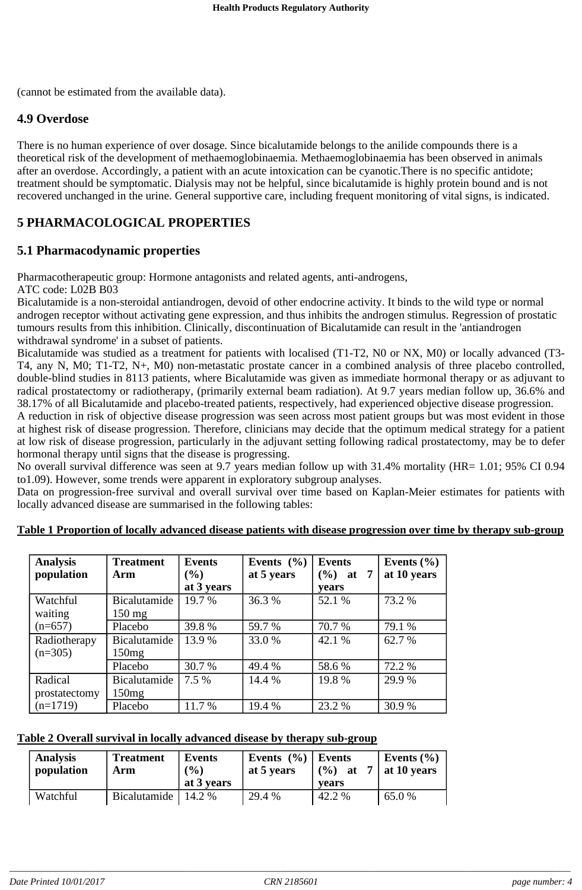(cannot be estimated from the available data).

## **4.9 Overdose**

There is no human experience of over dosage. Since bicalutamide belongs to the anilide compounds there is a theoretical risk of the development of methaemoglobinaemia. Methaemoglobinaemia has been observed in animals after an overdose. Accordingly, a patient with an acute intoxication can be cyanotic.There is no specific antidote; treatment should be symptomatic. Dialysis may not be helpful, since bicalutamide is highly protein bound and is not recovered unchanged in the urine. General supportive care, including frequent monitoring of vital signs, is indicated.

# **5 PHARMACOLOGICAL PROPERTIES**

# **5.1 Pharmacodynamic properties**

Pharmacotherapeutic group: Hormone antagonists and related agents, anti-androgens,

ATC code: L02B B03

Bicalutamide is a non-steroidal antiandrogen, devoid of other endocrine activity. It binds to the wild type or normal androgen receptor without activating gene expression, and thus inhibits the androgen stimulus. Regression of prostatic tumours results from this inhibition. Clinically, discontinuation of Bicalutamide can result in the 'antiandrogen withdrawal syndrome' in a subset of patients.

Bicalutamide was studied as a treatment for patients with localised (T1-T2, N0 or NX, M0) or locally advanced (T3- T4, any N, M0; T1-T2, N+, M0) non-metastatic prostate cancer in a combined analysis of three placebo controlled, double-blind studies in 8113 patients, where Bicalutamide was given as immediate hormonal therapy or as adjuvant to radical prostatectomy or radiotherapy, (primarily external beam radiation). At 9.7 years median follow up, 36.6% and 38.17% of all Bicalutamide and placebo-treated patients, respectively, had experienced objective disease progression.

A reduction in risk of objective disease progression was seen across most patient groups but was most evident in those at highest risk of disease progression. Therefore, clinicians may decide that the optimum medical strategy for a patient at low risk of disease progression, particularly in the adjuvant setting following radical prostatectomy, may be to defer hormonal therapy until signs that the disease is progressing.

No overall survival difference was seen at 9.7 years median follow up with 31.4% mortality (HR= 1.01; 95% CI 0.94 to1.09). However, some trends were apparent in exploratory subgroup analyses.

Data on progression-free survival and overall survival over time based on Kaplan-Meier estimates for patients with locally advanced disease are summarised in the following tables:

| <b>Analysis</b><br>population | <b>Treatment</b><br>Arm | <b>Events</b><br>$\left( \frac{0}{0} \right)$ | Events $(\% )$<br>at 5 years | <b>Events</b><br>$(\frac{9}{6})$ at 7 | Events $(\% )$<br>at 10 years |
|-------------------------------|-------------------------|-----------------------------------------------|------------------------------|---------------------------------------|-------------------------------|
|                               |                         | at 3 years                                    |                              | vears                                 |                               |
| Watchful                      | Bicalutamide            | 19.7 %                                        | 36.3 %                       | 52.1 %                                | 73.2 %                        |
| waiting                       | $150 \text{ mg}$        |                                               |                              |                                       |                               |
| $(n=657)$                     | Placebo                 | 39.8%                                         | 59.7 %                       | 70.7 %                                | 79.1 %                        |
| Radiotherapy                  | Bicalutamide            | 13.9 %                                        | 33.0%                        | 42.1 %                                | 62.7 %                        |
| $(n=305)$                     | 150mg                   |                                               |                              |                                       |                               |
|                               | Placebo                 | 30.7 %                                        | 49.4 %                       | 58.6%                                 | 72.2 %                        |
| Radical                       | Bicalutamide            | 7.5 %                                         | 14.4 %                       | 19.8%                                 | 29.9%                         |
| prostatectomy<br>$(n=1719)$   | 150mg                   |                                               |                              |                                       |                               |
|                               | Placebo                 | 11.7 %                                        | 19.4 %                       | 23.2 %                                | 30.9%                         |

#### **Table 1 Proportion of locally advanced disease patients with disease progression over time by therapy sub-group**

#### **Table 2 Overall survival in locally advanced disease by therapy sub-group**

| <b>Analysis</b><br>population | <b>Treatment</b><br>Arm | Events<br>$($ %)<br>at 3 years | Events $(\% )$ Events<br>at 5 years | $(\frac{6}{6})$ at<br>vears | Events $(\% )$<br>$\vert$ at 10 years |
|-------------------------------|-------------------------|--------------------------------|-------------------------------------|-----------------------------|---------------------------------------|
| Watchful                      | Bicalutamide   14.2 %   |                                | 29.4 %                              | 42.2 %                      | 65.0 %                                |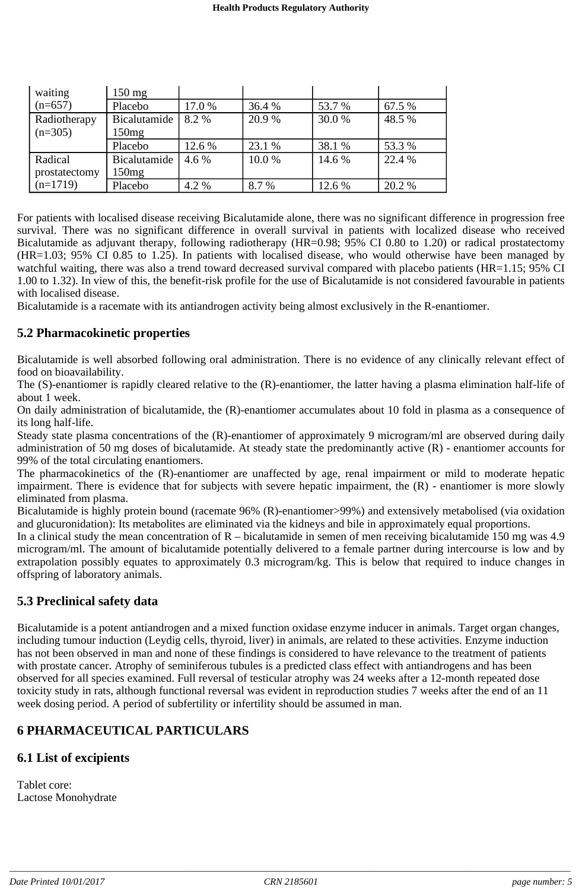| waiting       | $150 \text{ mg}$  |        |        |        |        |
|---------------|-------------------|--------|--------|--------|--------|
| $(n=657)$     | Placebo           | 17.0 % | 36.4 % | 53.7 % | 67.5 % |
| Radiotherapy  | Bicalutamide      | 8.2 %  | 20.9%  | 30.0 % | 48.5 % |
| $(n=305)$     | 150mg             |        |        |        |        |
|               | Placebo           | 12.6 % | 23.1 % | 38.1 % | 53.3 % |
| Radical       | Bicalutamide      | 4.6 %  | 10.0%  | 14.6 % | 22.4 % |
| prostatectomy | 150 <sub>mg</sub> |        |        |        |        |
| $(n=1719)$    | Placebo           | 4.2 %  | 8.7 %  | 12.6 % | 20.2 % |

For patients with localised disease receiving Bicalutamide alone, there was no significant difference in progression free survival. There was no significant difference in overall survival in patients with localized disease who received Bicalutamide as adjuvant therapy, following radiotherapy (HR=0.98; 95% CI 0.80 to 1.20) or radical prostatectomy (HR=1.03; 95% CI 0.85 to 1.25). In patients with localised disease, who would otherwise have been managed by watchful waiting, there was also a trend toward decreased survival compared with placebo patients (HR=1.15; 95% CI 1.00 to 1.32). In view of this, the benefit-risk profile for the use of Bicalutamide is not considered favourable in patients with localised disease.

Bicalutamide is a racemate with its antiandrogen activity being almost exclusively in the R-enantiomer.

#### **5.2 Pharmacokinetic properties**

Bicalutamide is well absorbed following oral administration. There is no evidence of any clinically relevant effect of food on bioavailability.

The (S)-enantiomer is rapidly cleared relative to the (R)-enantiomer, the latter having a plasma elimination half-life of about 1 week.

On daily administration of bicalutamide, the (R)-enantiomer accumulates about 10 fold in plasma as a consequence of its long half-life.

Steady state plasma concentrations of the (R)-enantiomer of approximately 9 microgram/ml are observed during daily administration of 50 mg doses of bicalutamide. At steady state the predominantly active (R) - enantiomer accounts for 99% of the total circulating enantiomers.

The pharmacokinetics of the (R)-enantiomer are unaffected by age, renal impairment or mild to moderate hepatic impairment. There is evidence that for subjects with severe hepatic impairment, the (R) - enantiomer is more slowly eliminated from plasma.

Bicalutamide is highly protein bound (racemate 96% (R)-enantiomer>99%) and extensively metabolised (via oxidation and glucuronidation): Its metabolites are eliminated via the kidneys and bile in approximately equal proportions.

In a clinical study the mean concentration of  $R$  – bicalutamide in semen of men receiving bicalutamide 150 mg was 4.9 microgram/ml. The amount of bicalutamide potentially delivered to a female partner during intercourse is low and by extrapolation possibly equates to approximately 0.3 microgram/kg. This is below that required to induce changes in offspring of laboratory animals.

## **5.3 Preclinical safety data**

Bicalutamide is a potent antiandrogen and a mixed function oxidase enzyme inducer in animals. Target organ changes, including tumour induction (Leydig cells, thyroid, liver) in animals, are related to these activities. Enzyme induction has not been observed in man and none of these findings is considered to have relevance to the treatment of patients with prostate cancer. Atrophy of seminiferous tubules is a predicted class effect with antiandrogens and has been observed for all species examined. Full reversal of testicular atrophy was 24 weeks after a 12-month repeated dose toxicity study in rats, although functional reversal was evident in reproduction studies 7 weeks after the end of an 11 week dosing period. A period of subfertility or infertility should be assumed in man.

# **6 PHARMACEUTICAL PARTICULARS**

# **6.1 List of excipients**

Tablet core: Lactose Monohydrate